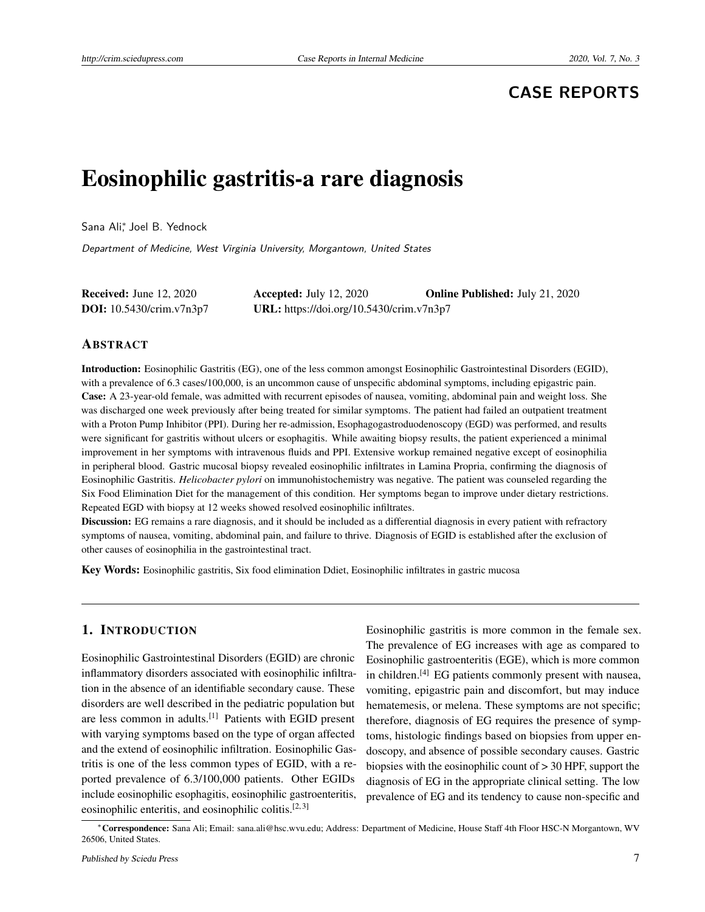# **CASE REPORTS**

# Eosinophilic gastritis-a rare diagnosis

Sana Ali<sup>∗</sup> , Joel B. Yednock

Department of Medicine, West Virginia University, Morgantown, United States

| <b>Received:</b> June 12, 2020  | <b>Accepted:</b> July 12, 2020           | <b>Online Published: July 21, 2020</b> |
|---------------------------------|------------------------------------------|----------------------------------------|
| <b>DOI:</b> 10.5430/crim.v7n3p7 | URL: https://doi.org/10.5430/crim.v7n3p7 |                                        |

#### ABSTRACT

Introduction: Eosinophilic Gastritis (EG), one of the less common amongst Eosinophilic Gastrointestinal Disorders (EGID), with a prevalence of 6.3 cases/100,000, is an uncommon cause of unspecific abdominal symptoms, including epigastric pain. Case: A 23-year-old female, was admitted with recurrent episodes of nausea, vomiting, abdominal pain and weight loss. She was discharged one week previously after being treated for similar symptoms. The patient had failed an outpatient treatment with a Proton Pump Inhibitor (PPI). During her re-admission, Esophagogastroduodenoscopy (EGD) was performed, and results were significant for gastritis without ulcers or esophagitis. While awaiting biopsy results, the patient experienced a minimal improvement in her symptoms with intravenous fluids and PPI. Extensive workup remained negative except of eosinophilia in peripheral blood. Gastric mucosal biopsy revealed eosinophilic infiltrates in Lamina Propria, confirming the diagnosis of Eosinophilic Gastritis. *Helicobacter pylori* on immunohistochemistry was negative. The patient was counseled regarding the Six Food Elimination Diet for the management of this condition. Her symptoms began to improve under dietary restrictions. Repeated EGD with biopsy at 12 weeks showed resolved eosinophilic infiltrates.

Discussion: EG remains a rare diagnosis, and it should be included as a differential diagnosis in every patient with refractory symptoms of nausea, vomiting, abdominal pain, and failure to thrive. Diagnosis of EGID is established after the exclusion of other causes of eosinophilia in the gastrointestinal tract.

Key Words: Eosinophilic gastritis, Six food elimination Ddiet, Eosinophilic infiltrates in gastric mucosa

## 1. INTRODUCTION

Eosinophilic Gastrointestinal Disorders (EGID) are chronic inflammatory disorders associated with eosinophilic infiltration in the absence of an identifiable secondary cause. These disorders are well described in the pediatric population but are less common in adults.[\[1\]](#page-3-0) Patients with EGID present with varying symptoms based on the type of organ affected and the extend of eosinophilic infiltration. Eosinophilic Gastritis is one of the less common types of EGID, with a reported prevalence of 6.3/100,000 patients. Other EGIDs include eosinophilic esophagitis, eosinophilic gastroenteritis, eosinophilic enteritis, and eosinophilic colitis.<sup>[\[2,](#page-3-1) [3\]](#page-3-2)</sup>

Eosinophilic gastritis is more common in the female sex. The prevalence of EG increases with age as compared to Eosinophilic gastroenteritis (EGE), which is more common in children.[\[4\]](#page-3-3) EG patients commonly present with nausea, vomiting, epigastric pain and discomfort, but may induce hematemesis, or melena. These symptoms are not specific; therefore, diagnosis of EG requires the presence of symptoms, histologic findings based on biopsies from upper endoscopy, and absence of possible secondary causes. Gastric biopsies with the eosinophilic count of > 30 HPF, support the diagnosis of EG in the appropriate clinical setting. The low prevalence of EG and its tendency to cause non-specific and

<sup>∗</sup>Correspondence: Sana Ali; Email: sana.ali@hsc.wvu.edu; Address: Department of Medicine, House Staff 4th Floor HSC-N Morgantown, WV 26506, United States.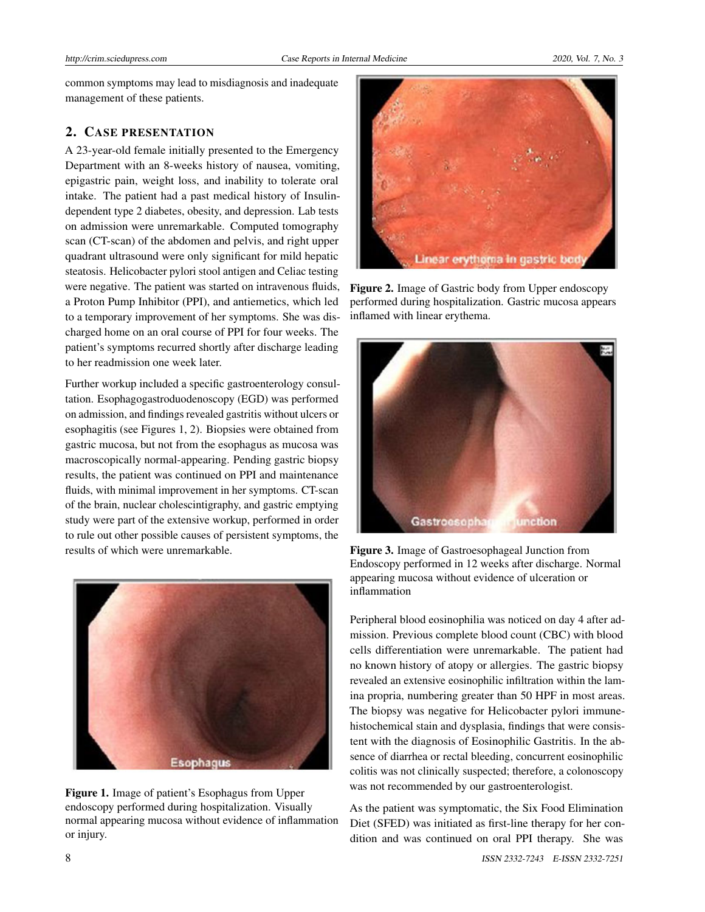common symptoms may lead to misdiagnosis and inadequate management of these patients.

# 2. CASE PRESENTATION

A 23-year-old female initially presented to the Emergency Department with an 8-weeks history of nausea, vomiting, epigastric pain, weight loss, and inability to tolerate oral intake. The patient had a past medical history of Insulindependent type 2 diabetes, obesity, and depression. Lab tests on admission were unremarkable. Computed tomography scan (CT-scan) of the abdomen and pelvis, and right upper quadrant ultrasound were only significant for mild hepatic steatosis. Helicobacter pylori stool antigen and Celiac testing were negative. The patient was started on intravenous fluids, a Proton Pump Inhibitor (PPI), and antiemetics, which led to a temporary improvement of her symptoms. She was discharged home on an oral course of PPI for four weeks. The patient's symptoms recurred shortly after discharge leading to her readmission one week later.

Further workup included a specific gastroenterology consultation. Esophagogastroduodenoscopy (EGD) was performed on admission, and findings revealed gastritis without ulcers or esophagitis (see Figures 1, 2). Biopsies were obtained from gastric mucosa, but not from the esophagus as mucosa was macroscopically normal-appearing. Pending gastric biopsy results, the patient was continued on PPI and maintenance fluids, with minimal improvement in her symptoms. CT-scan of the brain, nuclear cholescintigraphy, and gastric emptying study were part of the extensive workup, performed in order to rule out other possible causes of persistent symptoms, the results of which were unremarkable.



Figure 1. Image of patient's Esophagus from Upper endoscopy performed during hospitalization. Visually normal appearing mucosa without evidence of inflammation or injury.



Figure 2. Image of Gastric body from Upper endoscopy performed during hospitalization. Gastric mucosa appears inflamed with linear erythema.



Figure 3. Image of Gastroesophageal Junction from Endoscopy performed in 12 weeks after discharge. Normal appearing mucosa without evidence of ulceration or inflammation

Peripheral blood eosinophilia was noticed on day 4 after admission. Previous complete blood count (CBC) with blood cells differentiation were unremarkable. The patient had no known history of atopy or allergies. The gastric biopsy revealed an extensive eosinophilic infiltration within the lamina propria, numbering greater than 50 HPF in most areas. The biopsy was negative for Helicobacter pylori immunehistochemical stain and dysplasia, findings that were consistent with the diagnosis of Eosinophilic Gastritis. In the absence of diarrhea or rectal bleeding, concurrent eosinophilic colitis was not clinically suspected; therefore, a colonoscopy was not recommended by our gastroenterologist.

As the patient was symptomatic, the Six Food Elimination Diet (SFED) was initiated as first-line therapy for her condition and was continued on oral PPI therapy. She was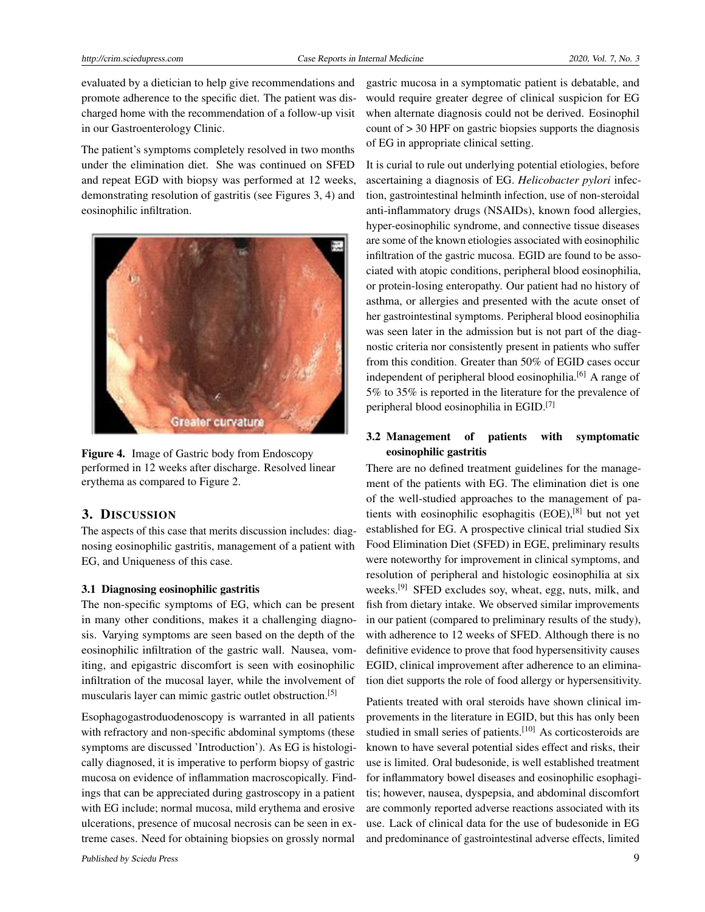evaluated by a dietician to help give recommendations and promote adherence to the specific diet. The patient was discharged home with the recommendation of a follow-up visit in our Gastroenterology Clinic.

The patient's symptoms completely resolved in two months under the elimination diet. She was continued on SFED and repeat EGD with biopsy was performed at 12 weeks, demonstrating resolution of gastritis (see Figures 3, 4) and eosinophilic infiltration.



Figure 4. Image of Gastric body from Endoscopy performed in 12 weeks after discharge. Resolved linear erythema as compared to Figure 2.

## 3. DISCUSSION

The aspects of this case that merits discussion includes: diagnosing eosinophilic gastritis, management of a patient with EG, and Uniqueness of this case.

#### 3.1 Diagnosing eosinophilic gastritis

The non-specific symptoms of EG, which can be present in many other conditions, makes it a challenging diagnosis. Varying symptoms are seen based on the depth of the eosinophilic infiltration of the gastric wall. Nausea, vomiting, and epigastric discomfort is seen with eosinophilic infiltration of the mucosal layer, while the involvement of muscularis layer can mimic gastric outlet obstruction.[\[5\]](#page-3-4)

Esophagogastroduodenoscopy is warranted in all patients with refractory and non-specific abdominal symptoms (these symptoms are discussed 'Introduction'). As EG is histologically diagnosed, it is imperative to perform biopsy of gastric mucosa on evidence of inflammation macroscopically. Findings that can be appreciated during gastroscopy in a patient with EG include; normal mucosa, mild erythema and erosive ulcerations, presence of mucosal necrosis can be seen in extreme cases. Need for obtaining biopsies on grossly normal

gastric mucosa in a symptomatic patient is debatable, and would require greater degree of clinical suspicion for EG when alternate diagnosis could not be derived. Eosinophil count of > 30 HPF on gastric biopsies supports the diagnosis of EG in appropriate clinical setting.

It is curial to rule out underlying potential etiologies, before ascertaining a diagnosis of EG. *Helicobacter pylori* infection, gastrointestinal helminth infection, use of non-steroidal anti-inflammatory drugs (NSAIDs), known food allergies, hyper-eosinophilic syndrome, and connective tissue diseases are some of the known etiologies associated with eosinophilic infiltration of the gastric mucosa. EGID are found to be associated with atopic conditions, peripheral blood eosinophilia, or protein-losing enteropathy. Our patient had no history of asthma, or allergies and presented with the acute onset of her gastrointestinal symptoms. Peripheral blood eosinophilia was seen later in the admission but is not part of the diagnostic criteria nor consistently present in patients who suffer from this condition. Greater than 50% of EGID cases occur independent of peripheral blood eosinophilia.<sup>[\[6\]](#page-3-5)</sup> A range of 5% to 35% is reported in the literature for the prevalence of peripheral blood eosinophilia in EGID.[\[7\]](#page-3-6)

# 3.2 Management of patients with symptomatic eosinophilic gastritis

There are no defined treatment guidelines for the management of the patients with EG. The elimination diet is one of the well-studied approaches to the management of patients with eosinophilic esophagitis  $(EOE),$ <sup>[\[8\]](#page-3-7)</sup> but not yet established for EG. A prospective clinical trial studied Six Food Elimination Diet (SFED) in EGE, preliminary results were noteworthy for improvement in clinical symptoms, and resolution of peripheral and histologic eosinophilia at six weeks.[\[9\]](#page-3-8) SFED excludes soy, wheat, egg, nuts, milk, and fish from dietary intake. We observed similar improvements in our patient (compared to preliminary results of the study), with adherence to 12 weeks of SFED. Although there is no definitive evidence to prove that food hypersensitivity causes EGID, clinical improvement after adherence to an elimination diet supports the role of food allergy or hypersensitivity.

Patients treated with oral steroids have shown clinical improvements in the literature in EGID, but this has only been studied in small series of patients.<sup>[\[10\]](#page-3-9)</sup> As corticosteroids are known to have several potential sides effect and risks, their use is limited. Oral budesonide, is well established treatment for inflammatory bowel diseases and eosinophilic esophagitis; however, nausea, dyspepsia, and abdominal discomfort are commonly reported adverse reactions associated with its use. Lack of clinical data for the use of budesonide in EG and predominance of gastrointestinal adverse effects, limited